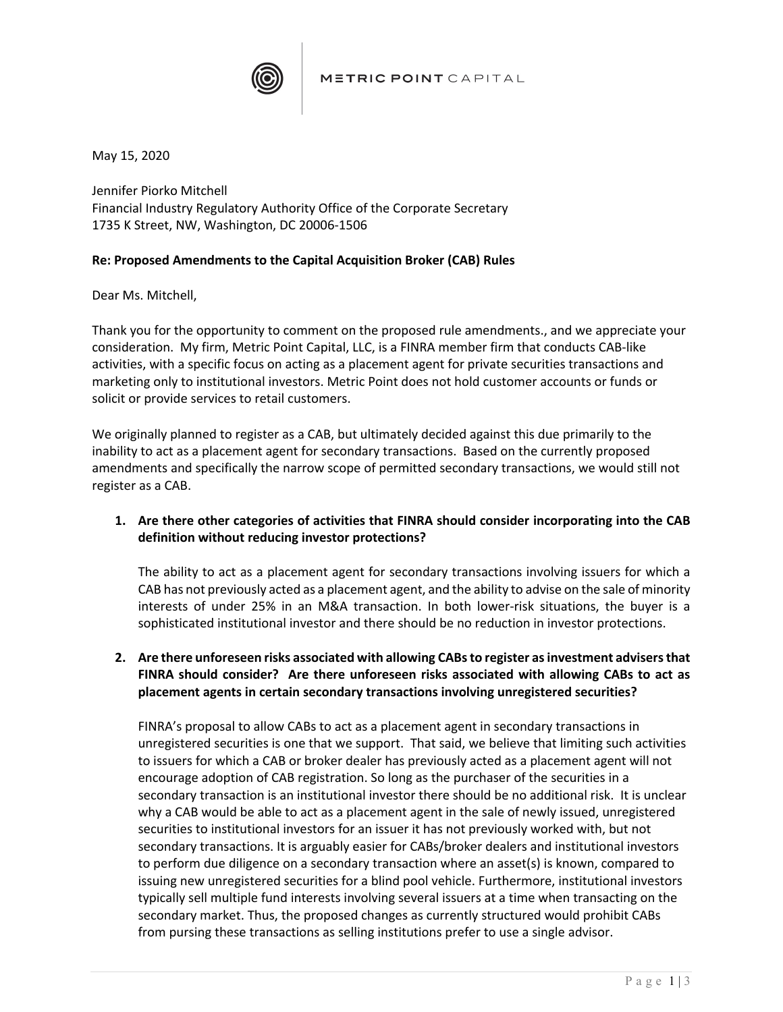

May 15, 2020

Jennifer Piorko Mitchell Financial Industry Regulatory Authority Office of the Corporate Secretary 1735 K Street, NW, Washington, DC 20006-1506

## **Re: Proposed Amendments to the Capital Acquisition Broker (CAB) Rules**

Dear Ms. Mitchell,

Thank you for the opportunity to comment on the proposed rule amendments., and we appreciate your consideration. My firm, Metric Point Capital, LLC, is a FINRA member firm that conducts CAB-like activities, with a specific focus on acting as a placement agent for private securities transactions and marketing only to institutional investors. Metric Point does not hold customer accounts or funds or solicit or provide services to retail customers.

We originally planned to register as a CAB, but ultimately decided against this due primarily to the inability to act as a placement agent for secondary transactions. Based on the currently proposed amendments and specifically the narrow scope of permitted secondary transactions, we would still not register as a CAB.

**1. Are there other categories of activities that FINRA should consider incorporating into the CAB definition without reducing investor protections?**

The ability to act as a placement agent for secondary transactions involving issuers for which a CAB has not previously acted as a placement agent, and the ability to advise on the sale of minority interests of under 25% in an M&A transaction. In both lower-risk situations, the buyer is a sophisticated institutional investor and there should be no reduction in investor protections.

**2. Are there unforeseen risks associated with allowing CABs to register as investment advisers that FINRA should consider? Are there unforeseen risks associated with allowing CABs to act as placement agents in certain secondary transactions involving unregistered securities?**

FINRA's proposal to allow CABs to act as a placement agent in secondary transactions in unregistered securities is one that we support. That said, we believe that limiting such activities to issuers for which a CAB or broker dealer has previously acted as a placement agent will not encourage adoption of CAB registration. So long as the purchaser of the securities in a secondary transaction is an institutional investor there should be no additional risk. It is unclear why a CAB would be able to act as a placement agent in the sale of newly issued, unregistered securities to institutional investors for an issuer it has not previously worked with, but not secondary transactions. It is arguably easier for CABs/broker dealers and institutional investors to perform due diligence on a secondary transaction where an asset(s) is known, compared to issuing new unregistered securities for a blind pool vehicle. Furthermore, institutional investors typically sell multiple fund interests involving several issuers at a time when transacting on the secondary market. Thus, the proposed changes as currently structured would prohibit CABs from pursing these transactions as selling institutions prefer to use a single advisor.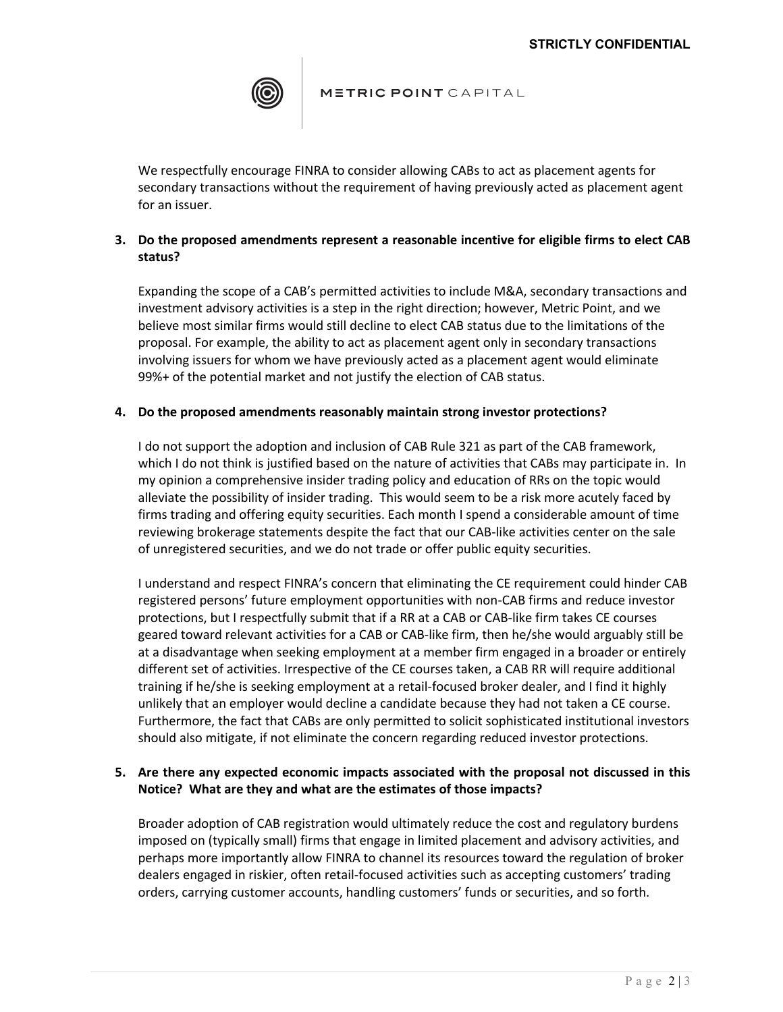

### METRIC POINT CAPITAL

We respectfully encourage FINRA to consider allowing CABs to act as placement agents for secondary transactions without the requirement of having previously acted as placement agent for an issuer.

# **3. Do the proposed amendments represent a reasonable incentive for eligible firms to elect CAB status?**

Expanding the scope of a CAB's permitted activities to include M&A, secondary transactions and investment advisory activities is a step in the right direction; however, Metric Point, and we believe most similar firms would still decline to elect CAB status due to the limitations of the proposal. For example, the ability to act as placement agent only in secondary transactions involving issuers for whom we have previously acted as a placement agent would eliminate 99%+ of the potential market and not justify the election of CAB status.

## **4. Do the proposed amendments reasonably maintain strong investor protections?**

I do not support the adoption and inclusion of CAB Rule 321 as part of the CAB framework, which I do not think is justified based on the nature of activities that CABs may participate in. In my opinion a comprehensive insider trading policy and education of RRs on the topic would alleviate the possibility of insider trading. This would seem to be a risk more acutely faced by firms trading and offering equity securities. Each month I spend a considerable amount of time reviewing brokerage statements despite the fact that our CAB-like activities center on the sale of unregistered securities, and we do not trade or offer public equity securities.

I understand and respect FINRA's concern that eliminating the CE requirement could hinder CAB registered persons' future employment opportunities with non-CAB firms and reduce investor protections, but I respectfully submit that if a RR at a CAB or CAB-like firm takes CE courses geared toward relevant activities for a CAB or CAB-like firm, then he/she would arguably still be at a disadvantage when seeking employment at a member firm engaged in a broader or entirely different set of activities. Irrespective of the CE courses taken, a CAB RR will require additional training if he/she is seeking employment at a retail-focused broker dealer, and I find it highly unlikely that an employer would decline a candidate because they had not taken a CE course. Furthermore, the fact that CABs are only permitted to solicit sophisticated institutional investors should also mitigate, if not eliminate the concern regarding reduced investor protections.

### **5. Are there any expected economic impacts associated with the proposal not discussed in this Notice? What are they and what are the estimates of those impacts?**

Broader adoption of CAB registration would ultimately reduce the cost and regulatory burdens imposed on (typically small) firms that engage in limited placement and advisory activities, and perhaps more importantly allow FINRA to channel its resources toward the regulation of broker dealers engaged in riskier, often retail-focused activities such as accepting customers' trading orders, carrying customer accounts, handling customers' funds or securities, and so forth.